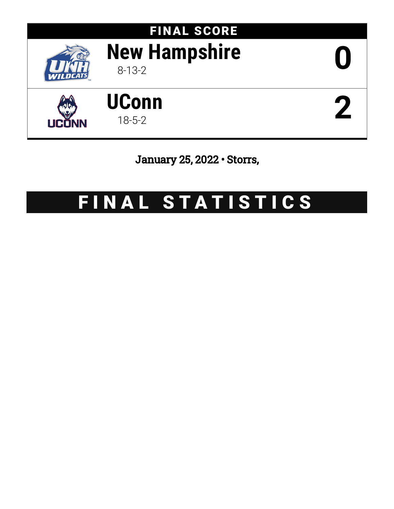

# FINAL SCORE **New Hampshire** 8-13-2 **0**





January 25, 2022 • Storrs,

# FINAL STATISTICS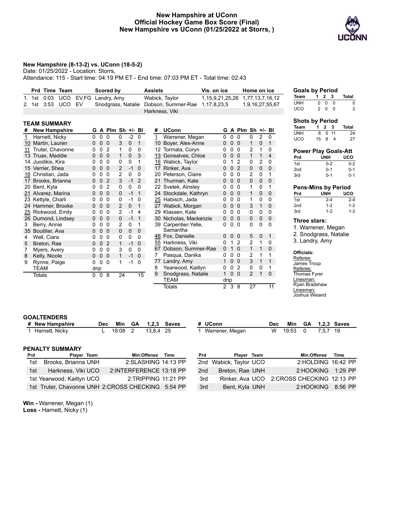## **New Hampshire at UConn Official Hockey Game Box Score (Final) New Hampshire vs UConn (01/25/2022 at Storrs, )**



#### **New Hampshire (8-13-2) vs. UConn (18-5-2)**

Date: 01/25/2022 - Location: Storrs,

**TEAM SUMMARY**

Attendance: 115 - Start time: 04:19 PM ET - End time: 07:03 PM ET - Total time: 02:43

|  | Prd Time Team      | Scored by                          | <b>Assists</b>                                    | Vis. on ice | Home on ice                     | Go  |
|--|--------------------|------------------------------------|---------------------------------------------------|-------------|---------------------------------|-----|
|  |                    | 1. 1st 0:03 UCO EV, FG Landry, Amy | Wabick, Taylor                                    |             | 1,15,9,21,25,26 1,77,13,7,16,12 | Tea |
|  | 2. 1st 3:53 UCO EV |                                    | Snodgrass, Natalie Dobson, Summer-Rae 1,17,8,23,5 |             | 1,9,16,27,55,67                 | UNI |
|  |                    |                                    | Harkness, Viki                                    |             |                                 | UC( |

|    | I EAM SUMMARY        |     |   |                |                |      |              |                |
|----|----------------------|-----|---|----------------|----------------|------|--------------|----------------|
| #  | <b>New Hampshire</b> | G   | A | Plm Sh         |                | +/-  | BI           | #              |
| 1  | Harnett, Nicky       | 0   | 0 | 0              | 0              | $-2$ | 0            | $\overline{1}$ |
| 10 | Martin, Lauren       | 0   | 0 | 0              | 3              | 0    | $\mathbf{1}$ | 10             |
| 11 | Truter, Chavonne     | 0   | 0 | 2              | 1              | 0    | 0            | 12             |
| 13 | Truax, Maddie        | 0   | 0 | 0              | 1              | 0    | 3            | <u>13</u>      |
| 14 | Juodikis, Kira       | 0   | 0 | 0              | 0              | 0    | 1            | <u>16</u>      |
|    | 15 Verrier, Shea     | 0   | 0 | 0              | $\overline{c}$ | $-1$ | 0            | 17             |
| 16 | Christian, Jada      | 0   | 0 | 0              | 2              | 0    | 0            | 20             |
|    | 17 Brooks, Brianna   | 0   | 0 | $\overline{2}$ | 3              | $-1$ | 2            | 21             |
| 20 | Bent, Kyla           | 0   | 0 | 2              | 0              | 0    | 0            | 22             |
| 21 | Alvarez, Marina      | 0   | 0 | 0              | 0              | $-1$ | 1            | 24             |
| 23 | Kettyle, Charli      | 0   | 0 | 0              | 0              | $-1$ | 0            | <u> 25</u>     |
| 24 | Hammer, Brooke       | 0   | 0 | 0              | 2              | 0    | 1            | 27             |
| 25 | Rickwood, Emily      | 0   | 0 | 0              | 2              | $-1$ | 4            | 29             |
| 26 | Dumond, Lindsey      | 0   | 0 | 0              | 0              | -1   | 1            | 30             |
| 3  | Berry, Annie         | 0   | 0 | 0              | 2              | 0    | 1            | 39             |
| 35 | Boutilier, Ava       | 0   | 0 | 0              | 0              | 0    | 0            |                |
| 4  | Wall, Ciara          | 0   | 0 | 0              | 0              | 0    | 0            | <u>46</u>      |
| 5  | Breton, Rae          | 0   | 0 | $\overline{2}$ | 1              | $-1$ | 0            | 55             |
| 7  | Myers, Avery         | 0   | 0 | 0              | 3              | 0    | 0            | 67             |
| 8  | Kelly, Nicole        | 0   | 0 | 0              | 1              | -1   | 0            | 7              |
| 9  | Rynne, Paige         | 0   | 0 | 0              | 1              | $-1$ | 0            | 77             |
|    | <b>TEAM</b>          | dnp |   |                |                |      |              | 8              |
|    | <b>Totals</b>        | 0   | 0 | 8              | 24             |      | 15           | 9              |
|    |                      |     |   |                |                |      |              |                |

| #               | <b>UConn</b>                  | G        |   | A Plm Sh $+/-$ Bl |                |          |                |
|-----------------|-------------------------------|----------|---|-------------------|----------------|----------|----------------|
| 1               | Warrener, Megan               | 0        | 0 | 0                 | 0              | 2        | 0              |
| 10 <sup>1</sup> | Boyer, Alex-Anne              | 0        | 0 | 0                 | 1              | 0        | 1              |
|                 | 12 Tormala, Coryn             | 0        | 0 | 0                 | 2              | 1        | 0              |
|                 | 13 Gonsalves, Chloe           | 0        | 0 | 0                 | $\overline{1}$ | 1        | $\overline{4}$ |
|                 | 16 Wabick, Taylor             | 0        | 1 | 2                 | 0              | 2        | 0              |
|                 | 17 Rinker, Ava                | 0        | 0 | $\mathfrak{p}$    | 0              | $\Omega$ | 0              |
| 20              | Peterson, Claire              | 0        | 0 | 0                 | 2              | 0        | 1              |
| 21              | Thurman, Kate                 | 0        | 0 | 0                 | 0              | 0        | 0              |
|                 | 22 Svetek, Ainsley            | 0        | 0 | 0                 | 1              | 0        | 1              |
| 24              | Stockdale, Kathryn            | 0        | 0 | 0                 | 1              | 0        | 0              |
|                 | 25 Habisch, Jada              | 0        | 0 | 0                 | 1              | 0        | 0              |
|                 | 27 Wabick, Morgan             | 0        | 0 | 0                 | 3              | 1        | 0              |
| 29.             | Klassen, Kate                 | n        | 0 | 0                 | 0              | 0        | 0              |
| 30              | Nicholas, Mackenzie           | 0        | 0 | 0                 | 0              | 0        | 0              |
| 39              | Carpentier-Yelle,<br>Samantha | n        | 0 | U                 | 0              | 0        | 0              |
| 46              | Fox, Danielle                 | 0        | 0 | 0                 | 5              | 0        | 1              |
|                 | 55 Harkness, Viki             | U        | 1 | 2                 | 2              | 1        | 0              |
|                 | 67 Dobson, Summer-Rae         | $\Omega$ | 1 | $\Omega$          | 1              | 1        | 0              |
| 7               | Pasqua, Danika                | 0        | 0 | 0                 | 2              | 1        | 1              |
|                 | 77 Landry, Amy                | 1        | 0 | 0                 | 3              | 1        | $\overline{1}$ |
| 8               | Yearwood, Kaitlyn             | 0        | 0 | 2                 | 0              | 0        | 1              |
| 9               | Snodgrass, Natalie            | 1        | 0 | 0                 | 2              | 1        | 0              |
|                 | <b>TEAM</b>                   | dnp      |   |                   |                |          |                |
|                 | Totals                        | 2        | 3 | 8                 | 27             |          | 11             |

| <b>Goals by Period</b> |   |          |       |       |
|------------------------|---|----------|-------|-------|
| Team                   |   |          | 1 2 3 | Total |
| <b>UNH</b>             | 0 | $\Omega$ | - 0   | o     |
| <b>UCO</b>             | 2 | $\Omega$ | n     | 2     |

| <b>Shots by Period</b> |    |       |      |       |
|------------------------|----|-------|------|-------|
| Team                   |    | 1 2 3 |      | Total |
| UNH                    | 8  |       | 5 11 | 24    |
| UCO                    | 15 | 8     | 4    | 27    |

#### **Power Play Goals-Att Prd UNH UCO** 1st 0-2 0-2 2nd 0-1 0-1 3rd 0-1 0-1

# **Pens-Mins by Period**

| Prd             | UNH     | uco     |
|-----------------|---------|---------|
| 1st             | $2 - 4$ | $2 - 4$ |
| 2 <sub>nd</sub> | $1-2$   | $1-2$   |
| 3rd             | $1-2$   | $1-2$   |

### **Three stars:**

1. Warrener, Megan 2. Snodgrass, Natalie

3. Landry, Amy

#### **Officials:**

Referee: James Troup Referee: Thomas Fyrer Linesman: Ryan Bradshaw Linesman: Joshua Weiand

3rd Bent, Kyla UNH 2:HOOKING 8:56 PP

#### **GOALTENDERS**

|            | # New Hampshire           | <b>Dec</b> | Min   | GA | 1.2.3       | Saves                   |     | # UConn            |                 | <b>Dec</b> | Min   | GA          |       | <b>1.2.3 Saves</b>                        |
|------------|---------------------------|------------|-------|----|-------------|-------------------------|-----|--------------------|-----------------|------------|-------|-------------|-------|-------------------------------------------|
|            | Harnett, Nicky            |            | 18:08 |    | 13.8.4 25   |                         |     | Warrener, Megan    |                 | W          | 19:53 |             | 7,5,7 | - 19                                      |
|            |                           |            |       |    |             |                         |     |                    |                 |            |       |             |       |                                           |
|            | <b>PENALTY SUMMARY</b>    |            |       |    |             |                         |     |                    |                 |            |       |             |       |                                           |
| <b>Prd</b> | Plaver Team               |            |       |    | Min:Offense | <b>Time</b>             | Prd |                    | Player Team     |            |       | Min:Offense |       | <b>Time</b>                               |
| 1st        | Brooks, Brianna UNH       |            |       |    |             | 2:SLASHING 14:13 PP     | 2nd | Wabick, Taylor UCO |                 |            |       |             |       | 2:HOLDING 16:42 PP                        |
| 1st        | Harkness, Viki UCO        |            |       |    |             | 2:INTERFERENCE 13:18 PP | 2nd |                    | Breton, Rae UNH |            |       | 2:HOOKING   |       | $1:29$ PP                                 |
|            | 1st Yearwood, Kaitlyn UCO |            |       |    |             | 2:TRIPPING 11:21 PP     | 3rd |                    |                 |            |       |             |       | Rinker, Ava UCO 2:CROSS CHECKING 12:13 PP |

**Win -** Warrener, Megan (1) **Loss -** Harnett, Nicky (1)

1st Truter, Chavonne UNH 2:CROSS CHECKING 5:54 PP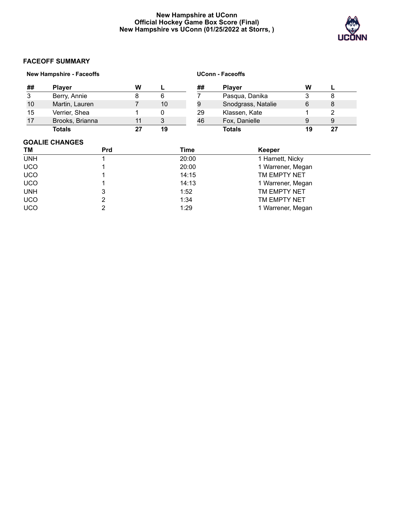# **New Hampshire at UConn Official Hockey Game Box Score (Final) New Hampshire vs UConn (01/25/2022 at Storrs, )**



# **FACEOFF SUMMARY**

|    | <b>New Hampshire - Faceoffs</b> |    |    |    | <b>UConn - Faceoffs</b> |    |    |
|----|---------------------------------|----|----|----|-------------------------|----|----|
| ## | <b>Plaver</b>                   | W  |    | ## | <b>Player</b>           | W  |    |
| 3  | Berry, Annie                    | 8  | 6  |    | Pasqua, Danika          | 3  | 8  |
| 10 | Martin, Lauren                  |    | 10 | 9  | Snodgrass, Natalie      | 6  | 8  |
| 15 | Verrier, Shea                   |    | 0  | 29 | Klassen, Kate           |    |    |
| 17 | Brooks, Brianna                 | 11 | 3  | 46 | Fox, Danielle           | 9  | 9  |
|    | Totals                          | 27 | 19 |    | <b>Totals</b>           | 19 | 27 |

# **GOALIE CHANGES**

| <b>TM</b>  | <b>Prd</b> | Time  | Keeper            |  |
|------------|------------|-------|-------------------|--|
| <b>UNH</b> |            | 20:00 | 1 Harnett, Nicky  |  |
| <b>UCO</b> |            | 20:00 | 1 Warrener, Megan |  |
| <b>UCO</b> |            | 14:15 | TM EMPTY NET      |  |
| <b>UCO</b> |            | 14:13 | 1 Warrener, Megan |  |
| <b>UNH</b> |            | 1:52  | TM EMPTY NET      |  |
| <b>UCO</b> |            | 1:34  | TM EMPTY NET      |  |
| <b>UCO</b> |            | 1:29  | 1 Warrener, Megan |  |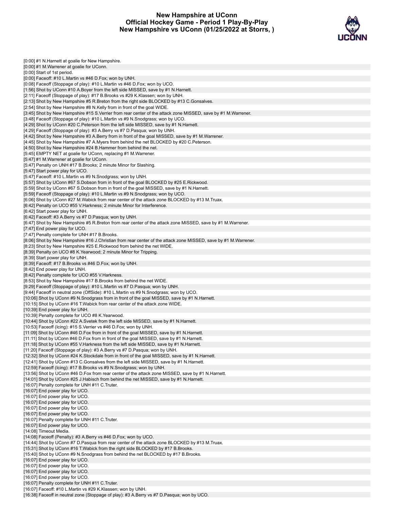# **New Hampshire at UConn Official Hockey Game - Period 1 Play-By-Play New Hampshire vs UConn (01/25/2022 at Storrs, )**



| [0:00] #1 N.Harnett at goalie for New Hampshire.<br>[0:00] #1 M. Warrener at goalie for UConn.                                                                                             |
|--------------------------------------------------------------------------------------------------------------------------------------------------------------------------------------------|
| [0:00] Start of 1st period.                                                                                                                                                                |
| [0:00] Faceoff: #10 L.Martin vs #46 D.Fox; won by UNH.                                                                                                                                     |
| [0:08] Faceoff (Stoppage of play): #10 L.Martin vs #46 D.Fox; won by UCO.                                                                                                                  |
| [1:56] Shot by UConn #10 A.Boyer from the left side MISSED, save by #1 N.Harnett.                                                                                                          |
| [2:11] Faceoff (Stoppage of play): #17 B.Brooks vs #29 K.Klassen; won by UNH.<br>[2:13] Shot by New Hampshire #5 R.Breton from the right side BLOCKED by #13 C.Gonsalves.                  |
| [2:54] Shot by New Hampshire #8 N.Kelly from in front of the goal WIDE.                                                                                                                    |
| [3:45] Shot by New Hampshire #15 S.Verrier from rear center of the attack zone MISSED, save by #1 M.Warrener.                                                                              |
| [3:48] Faceoff (Stoppage of play): #10 L.Martin vs #9 N.Snodgrass; won by UCO.                                                                                                             |
| [4:29] Shot by UConn #20 C.Peterson from the left side MISSED, save by #1 N.Harnett.                                                                                                       |
| [4:29] Faceoff (Stoppage of play): #3 A.Berry vs #7 D.Pasqua; won by UNH.                                                                                                                  |
| [4:42] Shot by New Hampshire #3 A.Berry from in front of the goal MISSED, save by #1 M.Warrener.<br>[4:45] Shot by New Hampshire #7 A.Myers from behind the net BLOCKED by #20 C.Peterson. |
| [4:50] Shot by New Hampshire #24 B.Hammer from behind the net.                                                                                                                             |
| [5:45] EMPTY NET at goalie for UConn, replacing #1 M. Warrener.                                                                                                                            |
| [5:47] #1 M. Warrener at goalie for UConn.                                                                                                                                                 |
| [5:47] Penalty on UNH #17 B.Brooks; 2 minute Minor for Slashing.                                                                                                                           |
| [5:47] Start power play for UCO.<br>[5:47] Faceoff: #10 L.Martin vs #9 N.Snodgrass; won by UNH.                                                                                            |
| [5:57] Shot by UConn #67 S.Dobson from in front of the goal BLOCKED by #25 E.Rickwood.                                                                                                     |
| [5:59] Shot by UConn #67 S.Dobson from in front of the goal MISSED, save by #1 N.Harnett.                                                                                                  |
| [5:59] Faceoff (Stoppage of play): #10 L.Martin vs #9 N.Snodgrass; won by UCO.                                                                                                             |
| [6:06] Shot by UConn #27 M. Wabick from rear center of the attack zone BLOCKED by #13 M. Truax.                                                                                            |
| [6:42] Penalty on UCO #55 V.Harkness; 2 minute Minor for Interference.                                                                                                                     |
| [6:42] Start power play for UNH.<br>[6:42] Faceoff: #3 A.Berry vs #7 D.Pasqua; won by UNH.                                                                                                 |
| [6:47] Shot by New Hampshire #5 R.Breton from rear center of the attack zone MISSED, save by #1 M.Warrener.                                                                                |
| [7:47] End power play for UCO.                                                                                                                                                             |
| [7:47] Penalty complete for UNH #17 B.Brooks.                                                                                                                                              |
| [8:06] Shot by New Hampshire #16 J.Christian from rear center of the attack zone MISSED, save by #1 M.Warrener.                                                                            |
| [8:23] Shot by New Hampshire #25 E.Rickwood from behind the net WIDE.<br>[8:39] Penalty on UCO #8 K. Yearwood; 2 minute Minor for Tripping.                                                |
| [8:39] Start power play for UNH.                                                                                                                                                           |
| [8:39] Faceoff: #17 B. Brooks vs #46 D. Fox; won by UNH.                                                                                                                                   |
| [8:42] End power play for UNH.                                                                                                                                                             |
| [8:42] Penalty complete for UCO #55 V. Harkness.                                                                                                                                           |
| [8:53] Shot by New Hampshire #17 B.Brooks from behind the net WIDE.<br>[9:29] Faceoff (Stoppage of play): #10 L.Martin vs #7 D.Pasqua; won by UNH.                                         |
| [9:44] Faceoff in neutral zone (OffSide): #10 L.Martin vs #9 N.Snodgrass; won by UCO.                                                                                                      |
| [10:06] Shot by UConn #9 N.Snodgrass from in front of the goal MISSED, save by #1 N.Harnett.                                                                                               |
| [10:15] Shot by UConn #16 T. Wabick from rear center of the attack zone WIDE.                                                                                                              |
| [10:39] End power play for UNH.                                                                                                                                                            |
| [10:39] Penalty complete for UCO #8 K. Yearwood.<br>[10:44] Shot by UConn #22 A.Svetek from the left side MISSED, save by #1 N.Harnett.                                                    |
| [10:53] Faceoff (Icing): #15 S. Verrier vs #46 D. Fox; won by UNH.                                                                                                                         |
| [11:09] Shot by UConn #46 D.Fox from in front of the goal MISSED, save by #1 N.Harnett.                                                                                                    |
| [11:11] Shot by UConn #46 D.Fox from in front of the goal MISSED, save by #1 N.Harnett.                                                                                                    |
| [11:18] Shot by UConn #55 V.Harkness from the left side MISSED, save by #1 N.Harnett.                                                                                                      |
| [11:20] Faceoff (Stoppage of play): #3 A.Berry vs #7 D.Pasqua; won by UNH.<br>[12:32] Shot by UConn #24 K.Stockdale from in front of the goal MISSED, save by #1 N.Harnett.                |
| [12:41] Shot by UConn #13 C.Gonsalves from the left side MISSED, save by #1 N.Harnett.                                                                                                     |
| [12:59] Faceoff (Icing): #17 B. Brooks vs #9 N. Snodgrass; won by UNH.                                                                                                                     |
| [13:56] Shot by UConn #46 D.Fox from rear center of the attack zone MISSED, save by #1 N.Harnett.                                                                                          |
| [14:01] Shot by UConn #25 J.Habisch from behind the net MISSED, save by #1 N.Harnett.                                                                                                      |
| [16:07] Penalty complete for UNH #11 C. Truter.<br>[16:07] End power play for UCO.                                                                                                         |
| [16:07] End power play for UCO.                                                                                                                                                            |
| [16:07] End power play for UCO.                                                                                                                                                            |
| [16:07] End power play for UCO.                                                                                                                                                            |
| [16:07] End power play for UCO.                                                                                                                                                            |
| [16:07] Penalty complete for UNH #11 C. Truter.<br>[16:07] End power play for UCO.                                                                                                         |
| [14:08] Timeout Media.                                                                                                                                                                     |
| [14:08] Faceoff (Penalty): #3 A.Berry vs #46 D.Fox; won by UCO.                                                                                                                            |
| [14:44] Shot by UConn #7 D. Pasqua from rear center of the attack zone BLOCKED by #13 M. Truax.                                                                                            |
| [15:31] Shot by UConn #16 T. Wabick from the right side BLOCKED by #17 B. Brooks.                                                                                                          |
| [15:40] Shot by UConn #9 N.Snodgrass from behind the net BLOCKED by #17 B.Brooks.<br>[16:07] End power play for UCO.                                                                       |
| [16:07] End power play for UCO.                                                                                                                                                            |
| [16:07] End power play for UCO.                                                                                                                                                            |
| [16:07] End power play for UCO.                                                                                                                                                            |
| [16:07] Penalty complete for UNH #11 C. Truter.                                                                                                                                            |
| [16:07] Faceoff: #10 L.Martin vs #29 K.Klassen; won by UNH.                                                                                                                                |

[16:38] Faceoff in neutral zone (Stoppage of play): #3 A.Berry vs #7 D.Pasqua; won by UCO.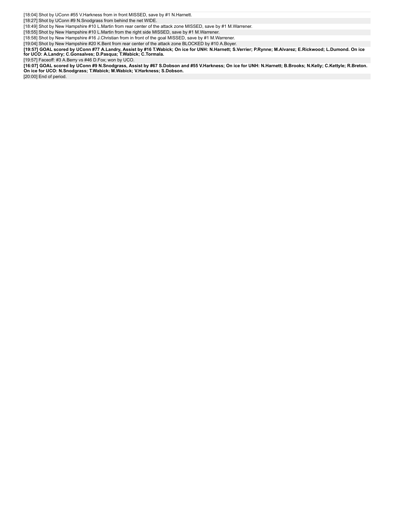[18:04] Shot by UConn #55 V.Harkness from in front MISSED, save by #1 N.Harnett.

[18:27] Shot by UConn #9 N.Snodgrass from behind the net WIDE.

[18:49] Shot by New Hampshire #10 L.Martin from rear center of the attack zone MISSED, save by #1 M.Warrener.

[18:55] Shot by New Hampshire #10 L.Martin from the right side MISSED, save by #1 M.Warrener.

[18:58] Shot by New Hampshire #16 J.Christian from in front of the goal MISSED, save by #1 M.Warrener.

[19:04] Shot by New Hampshire #20 K.Bent from rear center of the attack zone BLOCKED by #10 A.Boyer.

[19:57] GOAL scored by UConn #77 A.Landry, Assist by #16 T.Wabick; On ice for UNH: N.Harnett; S.Verrier; P.Rynne; M.Alvarez; E.Rickwood; L.Dumond. On ice<br>for UCO: A.Landry; C.Gonsalves; D.Pasqua; T.Wabick; C.Tormala.

[19:57] Faceoff: #3 A.Berry vs #46 D.Fox; won by UCO.

[16:07] GOAL scored by UConn #9 N.Snodgrass, Assist by #67 S.Dobson and #55 V.Harkness; On ice for UNH: N.Harnett; B.Brooks; N.Kelly; C.Kettyle; R.Breton.<br>On ice for UCO: N.Snodgrass; T.Wabick; M.Wabick; V.Harkness; S.Dobs

[20:00] End of period.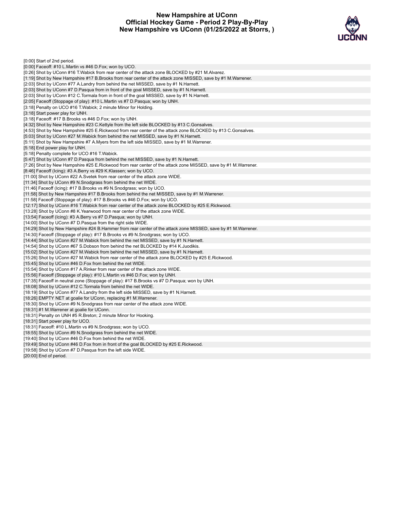# **New Hampshire at UConn Official Hockey Game - Period 2 Play-By-Play New Hampshire vs UConn (01/25/2022 at Storrs, )**



| [0:00] Start of 2nd period.                                                                                                                |
|--------------------------------------------------------------------------------------------------------------------------------------------|
| $[0.00]$ Faceoff: #10 L.Martin vs #46 D.Fox; won by UCO.                                                                                   |
| [0:26] Shot by UConn #16 T. Wabick from rear center of the attack zone BLOCKED by #21 M. Alvarez.                                          |
| [1:19] Shot by New Hampshire #17 B.Brooks from rear center of the attack zone MISSED, save by #1 M.Warrener.                               |
| [2:03] Shot by UConn #77 A.Landry from behind the net MISSED, save by #1 N.Harnett.                                                        |
| [2:03] Shot by UConn #7 D.Pasqua from in front of the goal MISSED, save by #1 N.Harnett.                                                   |
| [2:03] Shot by UConn #12 C. Tormala from in front of the goal MISSED, save by #1 N. Harnett.                                               |
| [2:05] Faceoff (Stoppage of play): #10 L.Martin vs #7 D.Pasqua; won by UNH.                                                                |
| [3:18] Penalty on UCO #16 T. Wabick; 2 minute Minor for Holding.                                                                           |
| [3:18] Start power play for UNH.                                                                                                           |
| [3:18] Faceoff: #17 B.Brooks vs #46 D.Fox; won by UNH.                                                                                     |
| [4:32] Shot by New Hampshire #23 C.Kettyle from the left side BLOCKED by #13 C.Gonsalves.                                                  |
| [4:53] Shot by New Hampshire #25 E.Rickwood from rear center of the attack zone BLOCKED by #13 C.Gonsalves.                                |
| [5:03] Shot by UConn #27 M. Wabick from behind the net MISSED, save by #1 N. Harnett.                                                      |
| [5:11] Shot by New Hampshire #7 A.Myers from the left side MISSED, save by #1 M.Warrener.                                                  |
| [5:18] End power play for UNH.                                                                                                             |
| [5:18] Penalty complete for UCO #16 T. Wabick.                                                                                             |
| [5:47] Shot by UConn #7 D.Pasqua from behind the net MISSED, save by #1 N.Harnett.                                                         |
| [7:26] Shot by New Hampshire #25 E.Rickwood from rear center of the attack zone MISSED, save by #1 M.Warrener.                             |
| [8:46] Faceoff (Icing): #3 A.Berry vs #29 K.Klassen; won by UCO.                                                                           |
| [11:00] Shot by UConn #22 A.Svetek from rear center of the attack zone WIDE.                                                               |
| [11:34] Shot by UConn #9 N.Snodgrass from behind the net WIDE.                                                                             |
| [11:46] Faceoff (lcing): #17 B.Brooks vs #9 N.Snodgrass; won by UCO.                                                                       |
| [11:58] Shot by New Hampshire #17 B.Brooks from behind the net MISSED, save by #1 M.Warrener.                                              |
| [11:58] Faceoff (Stoppage of play): #17 B. Brooks vs #46 D. Fox; won by UCO.                                                               |
| [12:17] Shot by UConn #16 T. Wabick from rear center of the attack zone BLOCKED by #25 E. Rickwood.                                        |
| [13:28] Shot by UConn #8 K. Yearwood from rear center of the attack zone WIDE.                                                             |
| [13:54] Faceoff (Icing): #3 A.Berry vs #7 D.Pasqua; won by UNH.                                                                            |
| [14:00] Shot by UConn #7 D. Pasqua from the right side WIDE.                                                                               |
| [14:29] Shot by New Hampshire #24 B.Hammer from rear center of the attack zone MISSED, save by #1 M.Warrener.                              |
| [14:30] Faceoff (Stoppage of play): #17 B.Brooks vs #9 N.Snodgrass; won by UCO.                                                            |
| [14:44] Shot by UConn #27 M. Wabick from behind the net MISSED, save by #1 N. Harnett.                                                     |
| [14:54] Shot by UConn #67 S.Dobson from behind the net BLOCKED by #14 K.Juodikis.                                                          |
| [15:02] Shot by UConn #27 M. Wabick from behind the net MISSED, save by #1 N. Harnett.                                                     |
| [15:26] Shot by UConn #27 M. Wabick from rear center of the attack zone BLOCKED by #25 E. Rickwood.                                        |
|                                                                                                                                            |
| [15:45] Shot by UConn #46 D.Fox from behind the net WIDE.<br>[15:54] Shot by UConn #17 A. Rinker from rear center of the attack zone WIDE. |
|                                                                                                                                            |
| [15:56] Faceoff (Stoppage of play): #10 L.Martin vs #46 D.Fox; won by UNH.                                                                 |
| [17:35] Faceoff in neutral zone (Stoppage of play): #17 B.Brooks vs #7 D.Pasqua; won by UNH.                                               |
| [18:08] Shot by UConn #12 C. Tormala from behind the net WIDE.                                                                             |
| [18:19] Shot by UConn #77 A.Landry from the left side MISSED, save by #1 N.Harnett.                                                        |
| [18:26] EMPTY NET at goalie for UConn, replacing #1 M. Warrener.                                                                           |
| [18:30] Shot by UConn #9 N.Snodgrass from rear center of the attack zone WIDE.                                                             |
| [18:31] #1 M. Warrener at goalie for UConn.                                                                                                |
| [18:31] Penalty on UNH #5 R. Breton; 2 minute Minor for Hooking.                                                                           |
| [18:31] Start power play for UCO.                                                                                                          |
| [18:31] Faceoff: #10 L.Martin vs #9 N.Snodgrass; won by UCO.                                                                               |
| [18:55] Shot by UConn #9 N.Snodgrass from behind the net WIDE.                                                                             |
| [19:40] Shot by UConn #46 D.Fox from behind the net WIDE.                                                                                  |
| [19:49] Shot by UConn #46 D.Fox from in front of the goal BLOCKED by #25 E.Rickwood.                                                       |
| [19:58] Shot by UConn #7 D. Pasqua from the left side WIDE.                                                                                |
| $[20:00]$ End of period.                                                                                                                   |